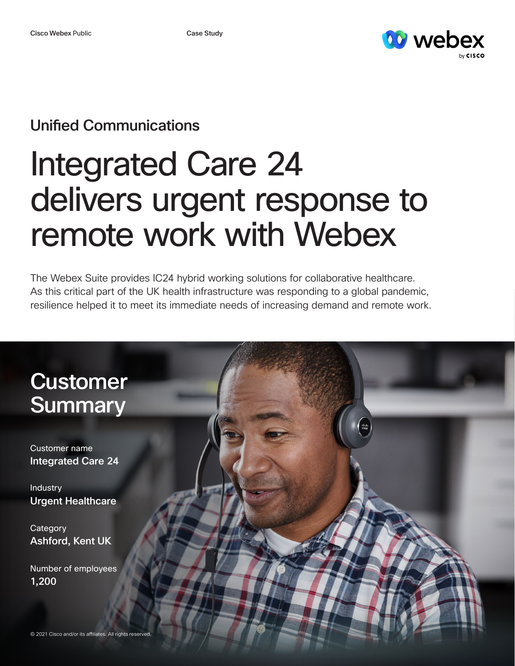

## Unified Communications

## Integrated Care 24 delivers urgent response to remote work with Webex

The Webex Suite provides IC24 hybrid working solutions for collaborative healthcare. As this critical part of the UK health infrastructure was responding to a global pandemic, resilience helped it to meet its immediate needs of increasing demand and remote work.

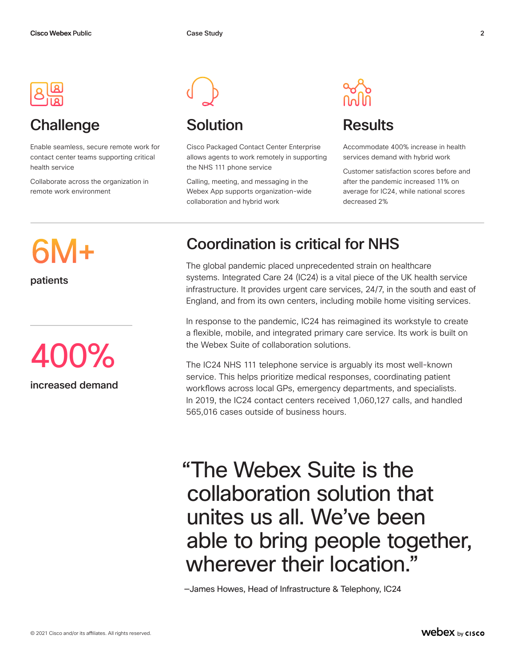

## Challenge Solution Results

Enable seamless, secure remote work for contact center teams supporting critical health service

Collaborate across the organization in remote work environment



Cisco Packaged Contact Center Enterprise allows agents to work remotely in supporting the NHS 111 phone service

Calling, meeting, and messaging in the Webex App supports organization-wide collaboration and hybrid work



Accommodate 400% increase in health services demand with hybrid work

Customer satisfaction scores before and after the pandemic increased 11% on average for IC24, while national scores decreased 2%

# 6M+

patients



## Coordination is critical for NHS

The global pandemic placed unprecedented strain on healthcare systems. Integrated Care 24 (IC24) is a vital piece of the UK health service infrastructure. It provides urgent care services, 24/7, in the south and east of England, and from its own centers, including mobile home visiting services.

In response to the pandemic, IC24 has reimagined its workstyle to create a flexible, mobile, and integrated primary care service. Its work is built on the Webex Suite of collaboration solutions.

The IC24 NHS 111 telephone service is arguably its most well-known service. This helps prioritize medical responses, coordinating patient workflows across local GPs, emergency departments, and specialists. In 2019, the IC24 contact centers received 1,060,127 calls, and handled 565,016 cases outside of business hours.

## "The Webex Suite is the collaboration solution that unites us all. We've been able to bring people together, wherever their location."

—James Howes, Head of Infrastructure & Telephony, IC24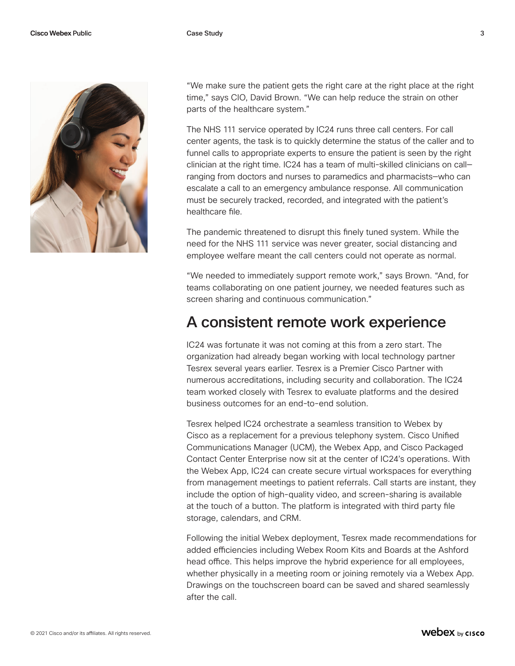

"We make sure the patient gets the right care at the right place at the right time," says CIO, David Brown. "We can help reduce the strain on other parts of the healthcare system."

The NHS 111 service operated by IC24 runs three call centers. For call center agents, the task is to quickly determine the status of the caller and to funnel calls to appropriate experts to ensure the patient is seen by the right clinician at the right time. IC24 has a team of multi-skilled clinicians on call ranging from doctors and nurses to paramedics and pharmacists—who can escalate a call to an emergency ambulance response. All communication must be securely tracked, recorded, and integrated with the patient's healthcare file.

The pandemic threatened to disrupt this finely tuned system. While the need for the NHS 111 service was never greater, social distancing and employee welfare meant the call centers could not operate as normal.

"We needed to immediately support remote work," says Brown. "And, for teams collaborating on one patient journey, we needed features such as screen sharing and continuous communication."

#### A consistent remote work experience

IC24 was fortunate it was not coming at this from a zero start. The organization had already began working with local technology partner Tesrex several years earlier. Tesrex is a Premier Cisco Partner with numerous accreditations, including security and collaboration. The IC24 team worked closely with Tesrex to evaluate platforms and the desired business outcomes for an end-to-end solution.

Tesrex helped IC24 orchestrate a seamless transition to Webex by Cisco as a replacement for a previous telephony system. Cisco Unified Communications Manager (UCM), the Webex App, and Cisco Packaged Contact Center Enterprise now sit at the center of IC24's operations. With the Webex App, IC24 can create secure virtual workspaces for everything from management meetings to patient referrals. Call starts are instant, they include the option of high-quality video, and screen-sharing is available at the touch of a button. The platform is integrated with third party file storage, calendars, and CRM.

Following the initial Webex deployment, Tesrex made recommendations for added efficiencies including Webex Room Kits and Boards at the Ashford head office. This helps improve the hybrid experience for all employees, whether physically in a meeting room or joining remotely via a Webex App. Drawings on the touchscreen board can be saved and shared seamlessly after the call.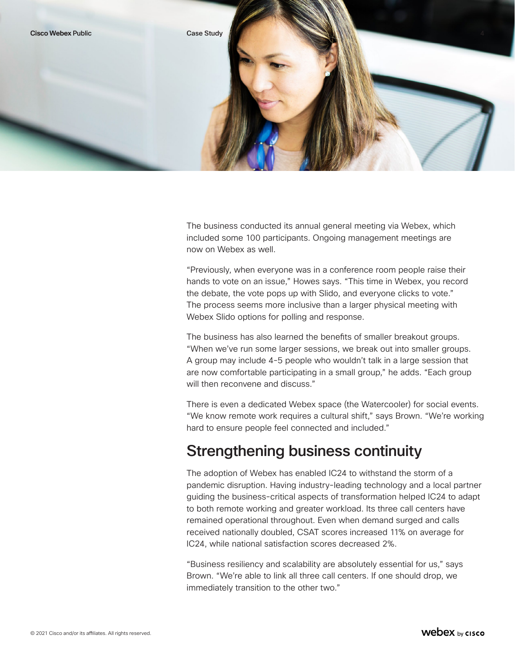

The business conducted its annual general meeting via Webex, which included some 100 participants. Ongoing management meetings are now on Webex as well.

"Previously, when everyone was in a conference room people raise their hands to vote on an issue," Howes says. "This time in Webex, you record the debate, the vote pops up with Slido, and everyone clicks to vote." The process seems more inclusive than a larger physical meeting with Webex Slido options for polling and response.

The business has also learned the benefits of smaller breakout groups. "When we've run some larger sessions, we break out into smaller groups. A group may include 4-5 people who wouldn't talk in a large session that are now comfortable participating in a small group," he adds. "Each group will then reconvene and discuss."

There is even a dedicated Webex space (the Watercooler) for social events. "We know remote work requires a cultural shift," says Brown. "We're working hard to ensure people feel connected and included."

#### Strengthening business continuity

The adoption of Webex has enabled IC24 to withstand the storm of a pandemic disruption. Having industry-leading technology and a local partner guiding the business-critical aspects of transformation helped IC24 to adapt to both remote working and greater workload. Its three call centers have remained operational throughout. Even when demand surged and calls received nationally doubled, CSAT scores increased 11% on average for IC24, while national satisfaction scores decreased 2%.

"Business resiliency and scalability are absolutely essential for us," says Brown. "We're able to link all three call centers. If one should drop, we immediately transition to the other two."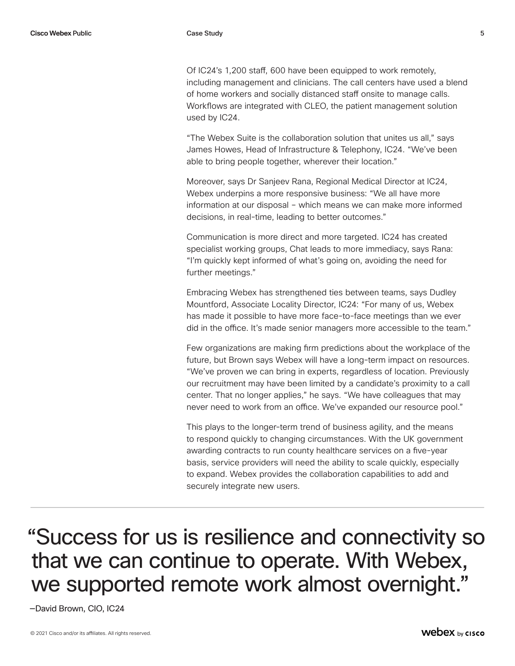Of IC24's 1,200 staff, 600 have been equipped to work remotely, including management and clinicians. The call centers have used a blend of home workers and socially distanced staff onsite to manage calls. Workflows are integrated with CLEO, the patient management solution used by IC24.

"The Webex Suite is the collaboration solution that unites us all," says James Howes, Head of Infrastructure & Telephony, IC24. "We've been able to bring people together, wherever their location."

Moreover, says Dr Sanjeev Rana, Regional Medical Director at IC24, Webex underpins a more responsive business: "We all have more information at our disposal – which means we can make more informed decisions, in real-time, leading to better outcomes."

Communication is more direct and more targeted. IC24 has created specialist working groups, Chat leads to more immediacy, says Rana: "I'm quickly kept informed of what's going on, avoiding the need for further meetings."

Embracing Webex has strengthened ties between teams, says Dudley Mountford, Associate Locality Director, IC24: "For many of us, Webex has made it possible to have more face-to-face meetings than we ever did in the office. It's made senior managers more accessible to the team."

Few organizations are making firm predictions about the workplace of the future, but Brown says Webex will have a long-term impact on resources. "We've proven we can bring in experts, regardless of location. Previously our recruitment may have been limited by a candidate's proximity to a call center. That no longer applies," he says. "We have colleagues that may never need to work from an office. We've expanded our resource pool."

This plays to the longer-term trend of business agility, and the means to respond quickly to changing circumstances. With the UK government awarding contracts to run county healthcare services on a five-year basis, service providers will need the ability to scale quickly, especially to expand. Webex provides the collaboration capabilities to add and securely integrate new users.

"Success for us is resilience and connectivity so that we can continue to operate. With Webex, we supported remote work almost overnight."

—David Brown, CIO, IC24